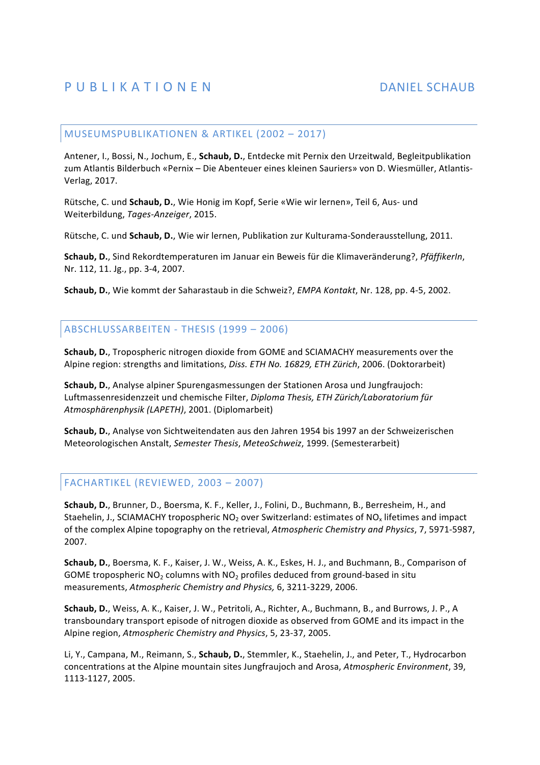### MUSEUMSPUBLIKATIONEN & ARTIKEL (2002 - 2017)

Antener, I., Bossi, N., Jochum, E., **Schaub, D.**, Entdecke mit Pernix den Urzeitwald, Begleitpublikation zum Atlantis Bilderbuch «Pernix - Die Abenteuer eines kleinen Sauriers» von D. Wiesmüller, Atlantis-Verlag, 2017.

Rütsche, C. und Schaub, D., Wie Honig im Kopf, Serie «Wie wir lernen», Teil 6, Aus- und Weiterbildung, *Tages-Anzeiger*, 2015.

Rütsche, C. und Schaub, D., Wie wir lernen, Publikation zur Kulturama-Sonderausstellung, 2011.

**Schaub, D.**, Sind Rekordtemperaturen im Januar ein Beweis für die Klimaveränderung?, *PfäffikerIn*, Nr. 112, 11. Jg., pp. 3-4, 2007.

**Schaub, D.**, Wie kommt der Saharastaub in die Schweiz?, *EMPA Kontakt*, Nr. 128, pp. 4-5, 2002.

## ABSCHLUSSARBEITEN - THESIS (1999 - 2006)

**Schaub, D.**, Tropospheric nitrogen dioxide from GOME and SCIAMACHY measurements over the Alpine region: strengths and limitations, *Diss. ETH No. 16829, ETH Zürich*, 2006. (Doktorarbeit)

**Schaub, D.**, Analyse alpiner Spurengasmessungen der Stationen Arosa und Jungfraujoch: Luftmassenresidenzzeit und chemische Filter, *Diploma Thesis, ETH Zürich/Laboratorium für* Atmosphärenphysik (LAPETH), 2001. (Diplomarbeit)

Schaub, D., Analyse von Sichtweitendaten aus den Jahren 1954 bis 1997 an der Schweizerischen Meteorologischen Anstalt, *Semester Thesis*, *MeteoSchweiz*, 1999. (Semesterarbeit)

## FACHARTIKEL (REVIEWED, 2003 - 2007)

Schaub, D., Brunner, D., Boersma, K. F., Keller, J., Folini, D., Buchmann, B., Berresheim, H., and Staehelin, J., SCIAMACHY tropospheric  $NO<sub>2</sub>$  over Switzerland: estimates of  $NO<sub>x</sub>$  lifetimes and impact of the complex Alpine topography on the retrieval, *Atmospheric Chemistry and Physics*, 7, 5971-5987, 2007.

**Schaub, D.**, Boersma, K. F., Kaiser, J. W., Weiss, A. K., Eskes, H. J., and Buchmann, B., Comparison of GOME tropospheric  $NO_2$  columns with  $NO_2$  profiles deduced from ground-based in situ measurements, Atmospheric Chemistry and Physics, 6, 3211-3229, 2006.

**Schaub, D.**, Weiss, A. K., Kaiser, J. W., Petritoli, A., Richter, A., Buchmann, B., and Burrows, J. P., A transboundary transport episode of nitrogen dioxide as observed from GOME and its impact in the Alpine region, Atmospheric Chemistry and Physics, 5, 23-37, 2005.

Li, Y., Campana, M., Reimann, S., **Schaub, D.**, Stemmler, K., Staehelin, J., and Peter, T., Hydrocarbon concentrations at the Alpine mountain sites Jungfraujoch and Arosa, *Atmospheric Environment*, 39, 1113-1127, 2005.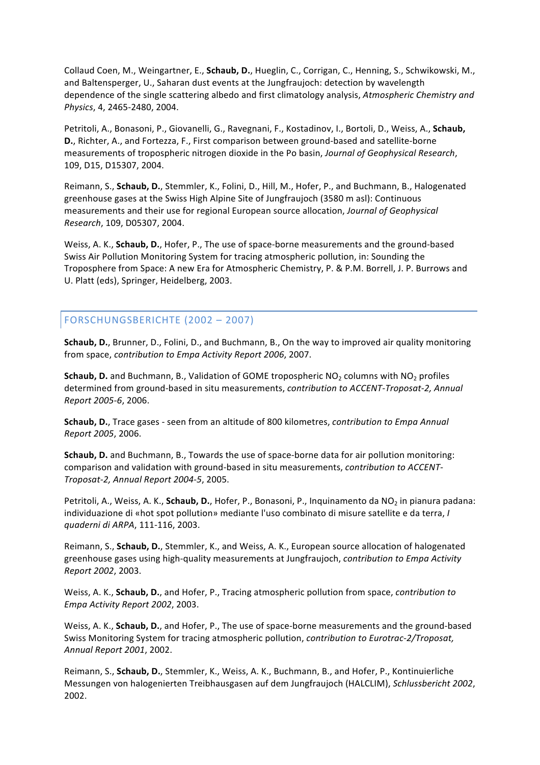Collaud Coen, M., Weingartner, E., Schaub, D., Hueglin, C., Corrigan, C., Henning, S., Schwikowski, M., and Baltensperger, U., Saharan dust events at the Jungfraujoch: detection by wavelength dependence of the single scattering albedo and first climatology analysis, *Atmospheric Chemistry and* Physics, 4, 2465-2480, 2004.

Petritoli, A., Bonasoni, P., Giovanelli, G., Ravegnani, F., Kostadinov, I., Bortoli, D., Weiss, A., Schaub, **D.**, Richter, A., and Fortezza, F., First comparison between ground-based and satellite-borne measurements of tropospheric nitrogen dioxide in the Po basin, *Journal of Geophysical Research*, 109, D15, D15307, 2004.

Reimann, S., Schaub, D., Stemmler, K., Folini, D., Hill, M., Hofer, P., and Buchmann, B., Halogenated greenhouse gases at the Swiss High Alpine Site of Jungfraujoch (3580 m asl): Continuous measurements and their use for regional European source allocation, *Journal of Geophysical Research*, 109, D05307, 2004. 

Weiss, A. K., **Schaub, D.**, Hofer, P., The use of space-borne measurements and the ground-based Swiss Air Pollution Monitoring System for tracing atmospheric pollution, in: Sounding the Troposphere from Space: A new Era for Atmospheric Chemistry, P. & P.M. Borrell, J. P. Burrows and U. Platt (eds), Springer, Heidelberg, 2003.

# FORSCHUNGSBERICHTE (2002 - 2007)

**Schaub, D.**, Brunner, D., Folini, D., and Buchmann, B., On the way to improved air quality monitoring from space, *contribution* to *Empa Activity Report 2006*, 2007.

**Schaub, D.** and Buchmann, B., Validation of GOME tropospheric NO<sub>2</sub> columns with NO<sub>2</sub> profiles determined from ground-based in situ measurements, *contribution to ACCENT-Troposat-2, Annual Report 2005-6*, 2006. 

**Schaub, D.**, Trace gases - seen from an altitude of 800 kilometres, *contribution to Empa Annual Report 2005*, 2006.

**Schaub, D.** and Buchmann, B., Towards the use of space-borne data for air pollution monitoring: comparison and validation with ground-based in situ measurements, *contribution to ACCENT*-*Troposat-2, Annual Report 2004-5*, 2005. 

Petritoli, A., Weiss, A. K., **Schaub, D.**, Hofer, P., Bonasoni, P., Inquinamento da NO<sub>2</sub> in pianura padana: individuazione di «hot spot pollution» mediante l'uso combinato di misure satellite e da terra, *I quaderni di ARPA*, 111-116, 2003. 

Reimann, S., **Schaub, D.**, Stemmler, K., and Weiss, A. K., European source allocation of halogenated greenhouse gases using high-quality measurements at Jungfraujoch, *contribution to Empa Activity Report 2002*, 2003.

Weiss, A. K., **Schaub, D.**, and Hofer, P., Tracing atmospheric pollution from space, *contribution* to *Empa Activity Report 2002*, 2003.

Weiss, A. K., **Schaub, D.**, and Hofer, P., The use of space-borne measurements and the ground-based Swiss Monitoring System for tracing atmospheric pollution, *contribution to Eurotrac-2/Troposat*, *Annual Report 2001*, 2002.

Reimann, S., Schaub, D., Stemmler, K., Weiss, A. K., Buchmann, B., and Hofer, P., Kontinuierliche Messungen von halogenierten Treibhausgasen auf dem Jungfraujoch (HALCLIM), *Schlussbericht 2002*, 2002.